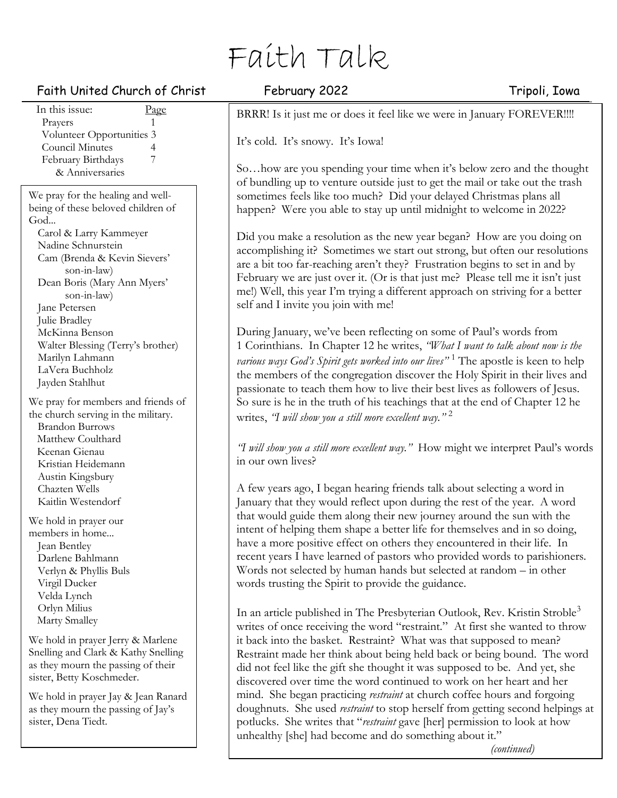# Faith Talk

# Faith United Church of Christ February 2022 Tripoli, Iowa

Council Minutes 4

In this issue: Page Prayers 1 Volunteer Opportunities 3 BRRR! Is it just me or does it feel like we were in January FOREVER!!!! It's cold. It's snowy. It's Iowa!

> So…how are you spending your time when it's below zero and the thought of bundling up to venture outside just to get the mail or take out the trash sometimes feels like too much? Did your delayed Christmas plans all happen? Were you able to stay up until midnight to welcome in 2022?

> Did you make a resolution as the new year began? How are you doing on accomplishing it? Sometimes we start out strong, but often our resolutions are a bit too far-reaching aren't they? Frustration begins to set in and by February we are just over it. (Or is that just me? Please tell me it isn't just me!) Well, this year I'm trying a different approach on striving for a better self and I invite you join with me!

> During January, we've been reflecting on some of Paul's words from 1 Corinthians. In Chapter 12 he writes, *"What I want to talk about now is the various ways God's Spirit gets worked into our lives"* <sup>1</sup> The apostle is keen to help the members of the congregation discover the Holy Spirit in their lives and passionate to teach them how to live their best lives as followers of Jesus. So sure is he in the truth of his teachings that at the end of Chapter 12 he writes, *"I will show you a still more excellent way."* <sup>2</sup>

*"I will show you a still more excellent way."* How might we interpret Paul's words in our own lives?

A few years ago, I began hearing friends talk about selecting a word in January that they would reflect upon during the rest of the year. A word that would guide them along their new journey around the sun with the intent of helping them shape a better life for themselves and in so doing, have a more positive effect on others they encountered in their life. In recent years I have learned of pastors who provided words to parishioners. Words not selected by human hands but selected at random – in other words trusting the Spirit to provide the guidance.

In an article published in The Presbyterian Outlook, Rev. Kristin Stroble<sup>3</sup> writes of once receiving the word "restraint." At first she wanted to throw it back into the basket. Restraint? What was that supposed to mean? Restraint made her think about being held back or being bound. The word did not feel like the gift she thought it was supposed to be. And yet, she discovered over time the word continued to work on her heart and her mind. She began practicing *restraint* at church coffee hours and forgoing doughnuts. She used *restraint* to stop herself from getting second helpings at potlucks. She writes that "*restraint* gave [her] permission to look at how unhealthy [she] had become and do something about it."

*(continued)*

February Birthdays 7 & Anniversaries We pray for the healing and wellbeing of these beloved children of God... Carol & Larry Kammeyer Nadine Schnurstein Cam (Brenda & Kevin Sievers' son-in-law) Dean Boris (Mary Ann Myers' son-in-law) Jane Petersen Julie Bradley McKinna Benson Walter Blessing (Terry's brother) Marilyn Lahmann LaVera Buchholz Jayden Stahlhut We pray for members and friends of the church serving in the military. Brandon Burrows Matthew Coulthard Keenan Gienau Kristian Heidemann Austin Kingsbury Chazten Wells Kaitlin Westendorf We hold in prayer our members in home... Jean Bentley Darlene Bahlmann Verlyn & Phyllis Buls Virgil Ducker Velda Lynch Orlyn Milius Marty Smalley

We hold in prayer Jerry & Marlene Snelling and Clark & Kathy Snelling as they mourn the passing of their sister, Betty Koschmeder.

We hold in prayer Jay & Jean Ranard as they mourn the passing of Jay's sister, Dena Tiedt.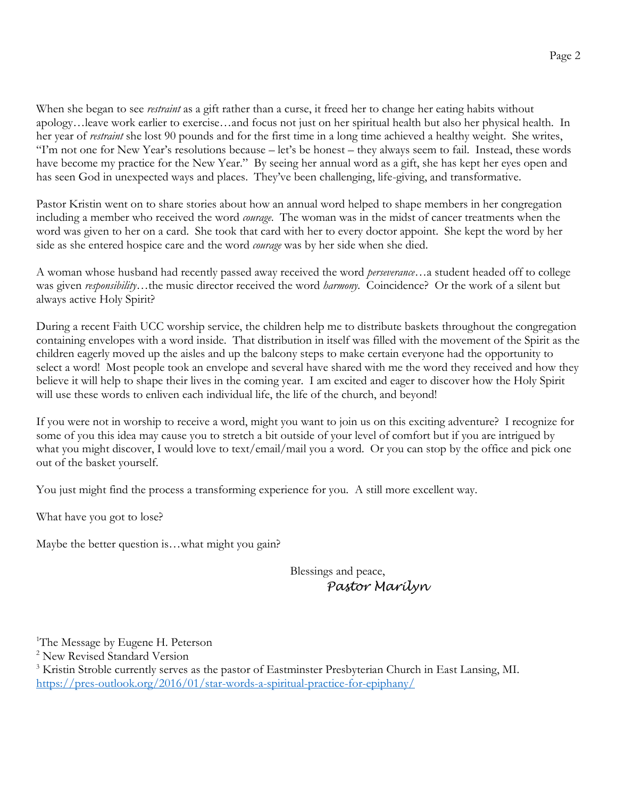When she began to see *restraint* as a gift rather than a curse, it freed her to change her eating habits without apology…leave work earlier to exercise…and focus not just on her spiritual health but also her physical health. In her year of *restraint* she lost 90 pounds and for the first time in a long time achieved a healthy weight. She writes, "I'm not one for New Year's resolutions because – let's be honest – they always seem to fail. Instead, these words have become my practice for the New Year." By seeing her annual word as a gift, she has kept her eyes open and has seen God in unexpected ways and places. They've been challenging, life-giving, and transformative.

Pastor Kristin went on to share stories about how an annual word helped to shape members in her congregation including a member who received the word *courage*. The woman was in the midst of cancer treatments when the word was given to her on a card. She took that card with her to every doctor appoint. She kept the word by her side as she entered hospice care and the word *courage* was by her side when she died.

A woman whose husband had recently passed away received the word *perseverance*…a student headed off to college was given *responsibility*…the music director received the word *harmony.* Coincidence? Or the work of a silent but always active Holy Spirit?

During a recent Faith UCC worship service, the children help me to distribute baskets throughout the congregation containing envelopes with a word inside. That distribution in itself was filled with the movement of the Spirit as the children eagerly moved up the aisles and up the balcony steps to make certain everyone had the opportunity to select a word! Most people took an envelope and several have shared with me the word they received and how they believe it will help to shape their lives in the coming year. I am excited and eager to discover how the Holy Spirit will use these words to enliven each individual life, the life of the church, and beyond!

If you were not in worship to receive a word, might you want to join us on this exciting adventure? I recognize for some of you this idea may cause you to stretch a bit outside of your level of comfort but if you are intrigued by what you might discover, I would love to text/email/mail you a word. Or you can stop by the office and pick one out of the basket yourself.

You just might find the process a transforming experience for you. A still more excellent way.

What have you got to lose?

Maybe the better question is...what might you gain?

Blessings and peace, *Pastor Marilyn*

<sup>1</sup>The Message by Eugene H. Peterson

<sup>2</sup> New Revised Standard Version

<sup>3</sup> Kristin Stroble currently serves as the pastor of Eastminster Presbyterian Church in East Lansing, MI. <https://pres-outlook.org/2016/01/star-words-a-spiritual-practice-for-epiphany/>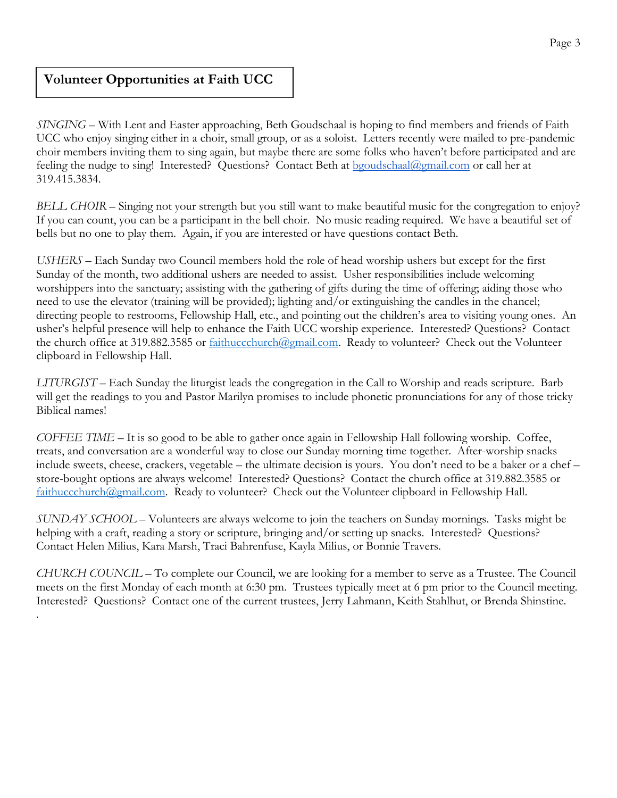#### Page 3

# **Volunteer Opportunities at Faith UCC**

.

*SINGING* – With Lent and Easter approaching, Beth Goudschaal is hoping to find members and friends of Faith UCC who enjoy singing either in a choir, small group, or as a soloist. Letters recently were mailed to pre-pandemic choir members inviting them to sing again, but maybe there are some folks who haven't before participated and are feeling the nudge to sing! Interested? Questions? Contact Beth at [bgoudschaal@gmail.com](mailto:bgoudschaal@gmail.com) or call her at 319.415.3834.

*BELL CHOIR* – Singing not your strength but you still want to make beautiful music for the congregation to enjoy? If you can count, you can be a participant in the bell choir. No music reading required. We have a beautiful set of bells but no one to play them. Again, if you are interested or have questions contact Beth.

*USHERS* – Each Sunday two Council members hold the role of head worship ushers but except for the first Sunday of the month, two additional ushers are needed to assist. Usher responsibilities include welcoming worshippers into the sanctuary; assisting with the gathering of gifts during the time of offering; aiding those who need to use the elevator (training will be provided); lighting and/or extinguishing the candles in the chancel; directing people to restrooms, Fellowship Hall, etc., and pointing out the children's area to visiting young ones. An usher's helpful presence will help to enhance the Faith UCC worship experience. Interested? Questions? Contact the church office at 319.882.3585 or [faithuccchurch@gmail.com.](mailto:faithuccchurch@gmail.com) Ready to volunteer? Check out the Volunteer clipboard in Fellowship Hall.

*LITURGIST* – Each Sunday the liturgist leads the congregation in the Call to Worship and reads scripture. Barb will get the readings to you and Pastor Marilyn promises to include phonetic pronunciations for any of those tricky Biblical names!

*COFFEE TIME* – It is so good to be able to gather once again in Fellowship Hall following worship. Coffee, treats, and conversation are a wonderful way to close our Sunday morning time together. After-worship snacks include sweets, cheese, crackers, vegetable – the ultimate decision is yours. You don't need to be a baker or a chef – store-bought options are always welcome! Interested? Questions? Contact the church office at 319.882.3585 or  $f_a$ ithuccchurch $@g$ mail.com. Ready to volunteer? Check out the Volunteer clipboard in Fellowship Hall.

*SUNDAY SCHOOL* – Volunteers are always welcome to join the teachers on Sunday mornings. Tasks might be helping with a craft, reading a story or scripture, bringing and/or setting up snacks. Interested? Questions? Contact Helen Milius, Kara Marsh, Traci Bahrenfuse, Kayla Milius, or Bonnie Travers.

*CHURCH COUNCIL* – To complete our Council, we are looking for a member to serve as a Trustee. The Council meets on the first Monday of each month at 6:30 pm. Trustees typically meet at 6 pm prior to the Council meeting. Interested? Questions? Contact one of the current trustees, Jerry Lahmann, Keith Stahlhut, or Brenda Shinstine.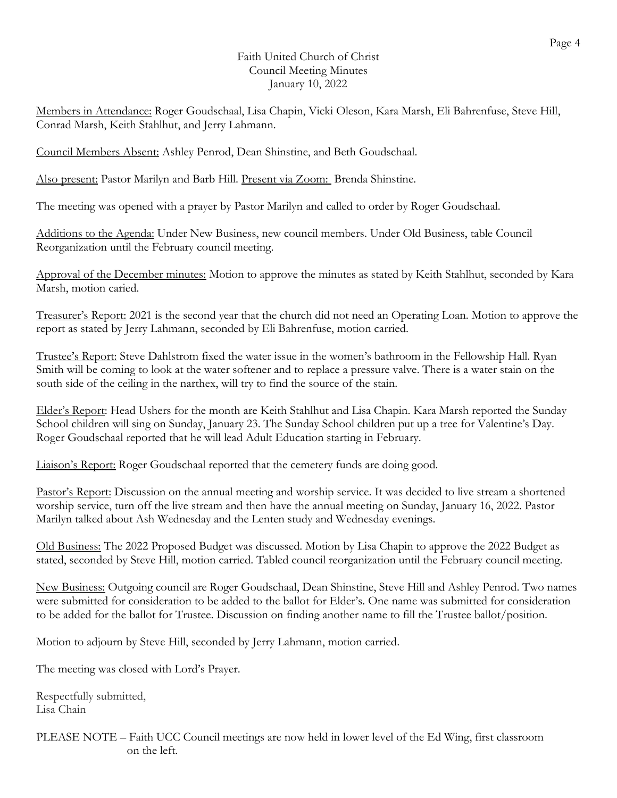# Faith United Church of Christ Council Meeting Minutes January 10, 2022

Members in Attendance: Roger Goudschaal, Lisa Chapin, Vicki Oleson, Kara Marsh, Eli Bahrenfuse, Steve Hill, Conrad Marsh, Keith Stahlhut, and Jerry Lahmann.

Council Members Absent: Ashley Penrod, Dean Shinstine, and Beth Goudschaal.

Also present: Pastor Marilyn and Barb Hill. Present via Zoom: Brenda Shinstine.

The meeting was opened with a prayer by Pastor Marilyn and called to order by Roger Goudschaal.

Additions to the Agenda: Under New Business, new council members. Under Old Business, table Council Reorganization until the February council meeting.

Approval of the December minutes: Motion to approve the minutes as stated by Keith Stahlhut, seconded by Kara Marsh, motion caried.

Treasurer's Report: 2021 is the second year that the church did not need an Operating Loan. Motion to approve the report as stated by Jerry Lahmann, seconded by Eli Bahrenfuse, motion carried.

Trustee's Report: Steve Dahlstrom fixed the water issue in the women's bathroom in the Fellowship Hall. Ryan Smith will be coming to look at the water softener and to replace a pressure valve. There is a water stain on the south side of the ceiling in the narthex, will try to find the source of the stain.

Elder's Report: Head Ushers for the month are Keith Stahlhut and Lisa Chapin. Kara Marsh reported the Sunday School children will sing on Sunday, January 23. The Sunday School children put up a tree for Valentine's Day. Roger Goudschaal reported that he will lead Adult Education starting in February.

Liaison's Report: Roger Goudschaal reported that the cemetery funds are doing good.

Pastor's Report: Discussion on the annual meeting and worship service. It was decided to live stream a shortened worship service, turn off the live stream and then have the annual meeting on Sunday, January 16, 2022. Pastor Marilyn talked about Ash Wednesday and the Lenten study and Wednesday evenings.

Old Business: The 2022 Proposed Budget was discussed. Motion by Lisa Chapin to approve the 2022 Budget as stated, seconded by Steve Hill, motion carried. Tabled council reorganization until the February council meeting.

New Business: Outgoing council are Roger Goudschaal, Dean Shinstine, Steve Hill and Ashley Penrod. Two names were submitted for consideration to be added to the ballot for Elder's. One name was submitted for consideration to be added for the ballot for Trustee. Discussion on finding another name to fill the Trustee ballot/position.

Motion to adjourn by Steve Hill, seconded by Jerry Lahmann, motion carried.

The meeting was closed with Lord's Prayer.

Respectfully submitted, Lisa Chain

PLEASE NOTE – Faith UCC Council meetings are now held in lower level of the Ed Wing, first classroom on the left.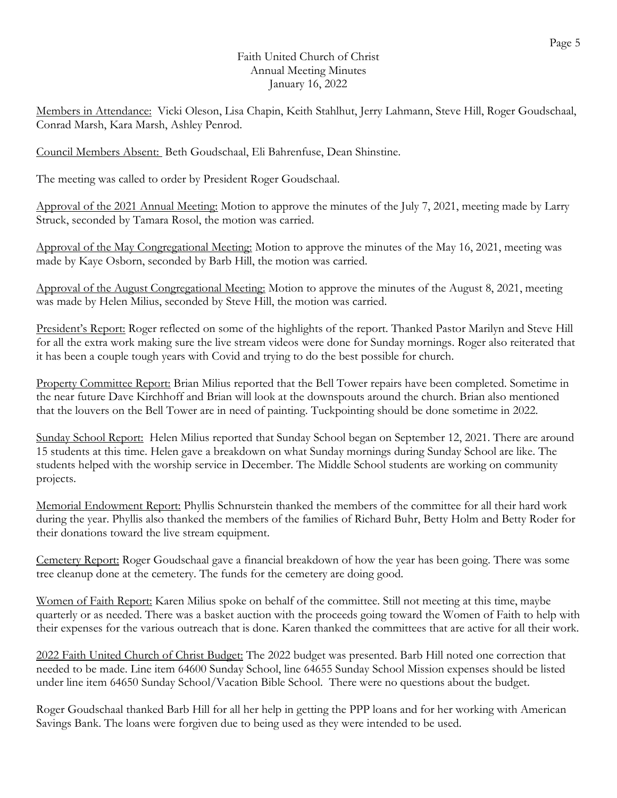# Faith United Church of Christ Annual Meeting Minutes January 16, 2022

Members in Attendance: Vicki Oleson, Lisa Chapin, Keith Stahlhut, Jerry Lahmann, Steve Hill, Roger Goudschaal, Conrad Marsh, Kara Marsh, Ashley Penrod.

Council Members Absent: Beth Goudschaal, Eli Bahrenfuse, Dean Shinstine.

The meeting was called to order by President Roger Goudschaal.

Approval of the 2021 Annual Meeting: Motion to approve the minutes of the July 7, 2021, meeting made by Larry Struck, seconded by Tamara Rosol, the motion was carried.

Approval of the May Congregational Meeting: Motion to approve the minutes of the May 16, 2021, meeting was made by Kaye Osborn, seconded by Barb Hill, the motion was carried.

Approval of the August Congregational Meeting: Motion to approve the minutes of the August 8, 2021, meeting was made by Helen Milius, seconded by Steve Hill, the motion was carried.

President's Report: Roger reflected on some of the highlights of the report. Thanked Pastor Marilyn and Steve Hill for all the extra work making sure the live stream videos were done for Sunday mornings. Roger also reiterated that it has been a couple tough years with Covid and trying to do the best possible for church.

Property Committee Report: Brian Milius reported that the Bell Tower repairs have been completed. Sometime in the near future Dave Kirchhoff and Brian will look at the downspouts around the church. Brian also mentioned that the louvers on the Bell Tower are in need of painting. Tuckpointing should be done sometime in 2022.

Sunday School Report: Helen Milius reported that Sunday School began on September 12, 2021. There are around 15 students at this time. Helen gave a breakdown on what Sunday mornings during Sunday School are like. The students helped with the worship service in December. The Middle School students are working on community projects.

Memorial Endowment Report: Phyllis Schnurstein thanked the members of the committee for all their hard work during the year. Phyllis also thanked the members of the families of Richard Buhr, Betty Holm and Betty Roder for their donations toward the live stream equipment.

Cemetery Report: Roger Goudschaal gave a financial breakdown of how the year has been going. There was some tree cleanup done at the cemetery. The funds for the cemetery are doing good.

Women of Faith Report: Karen Milius spoke on behalf of the committee. Still not meeting at this time, maybe quarterly or as needed. There was a basket auction with the proceeds going toward the Women of Faith to help with their expenses for the various outreach that is done. Karen thanked the committees that are active for all their work.

2022 Faith United Church of Christ Budget: The 2022 budget was presented. Barb Hill noted one correction that needed to be made. Line item 64600 Sunday School, line 64655 Sunday School Mission expenses should be listed under line item 64650 Sunday School/Vacation Bible School. There were no questions about the budget.

Roger Goudschaal thanked Barb Hill for all her help in getting the PPP loans and for her working with American Savings Bank. The loans were forgiven due to being used as they were intended to be used.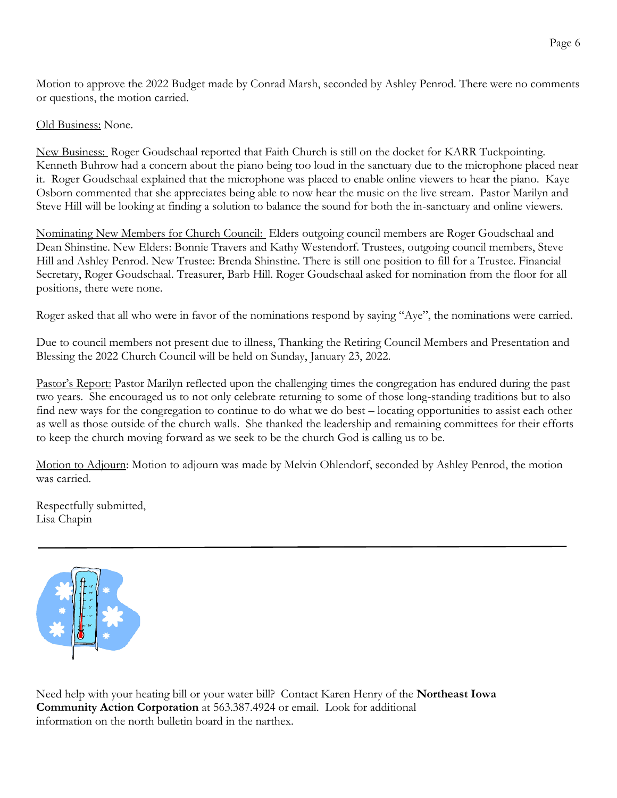Motion to approve the 2022 Budget made by Conrad Marsh, seconded by Ashley Penrod. There were no comments or questions, the motion carried.

Old Business: None.

New Business: Roger Goudschaal reported that Faith Church is still on the docket for KARR Tuckpointing. Kenneth Buhrow had a concern about the piano being too loud in the sanctuary due to the microphone placed near it. Roger Goudschaal explained that the microphone was placed to enable online viewers to hear the piano. Kaye Osborn commented that she appreciates being able to now hear the music on the live stream. Pastor Marilyn and Steve Hill will be looking at finding a solution to balance the sound for both the in-sanctuary and online viewers.

Nominating New Members for Church Council: Elders outgoing council members are Roger Goudschaal and Dean Shinstine. New Elders: Bonnie Travers and Kathy Westendorf. Trustees, outgoing council members, Steve Hill and Ashley Penrod. New Trustee: Brenda Shinstine. There is still one position to fill for a Trustee. Financial Secretary, Roger Goudschaal. Treasurer, Barb Hill. Roger Goudschaal asked for nomination from the floor for all positions, there were none.

Roger asked that all who were in favor of the nominations respond by saying "Aye", the nominations were carried.

Due to council members not present due to illness, Thanking the Retiring Council Members and Presentation and Blessing the 2022 Church Council will be held on Sunday, January 23, 2022.

Pastor's Report: Pastor Marilyn reflected upon the challenging times the congregation has endured during the past two years. She encouraged us to not only celebrate returning to some of those long-standing traditions but to also find new ways for the congregation to continue to do what we do best – locating opportunities to assist each other as well as those outside of the church walls. She thanked the leadership and remaining committees for their efforts to keep the church moving forward as we seek to be the church God is calling us to be.

Motion to Adjourn: Motion to adjourn was made by Melvin Ohlendorf, seconded by Ashley Penrod, the motion was carried.

Respectfully submitted, Lisa Chapin



Need help with your heating bill or your water bill? Contact Karen Henry of the **Northeast Iowa Community Action Corporation** at 563.387.4924 or email. Look for additional information on the north bulletin board in the narthex.